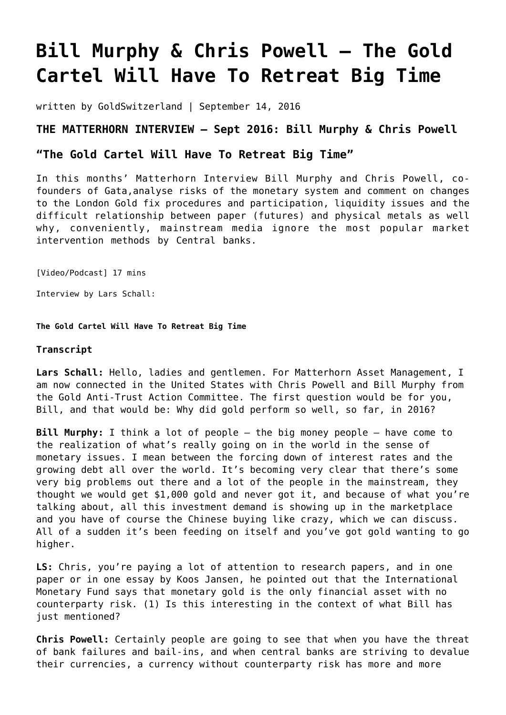## **[Bill Murphy & Chris Powell – The Gold](https://goldswitzerland.com/bill-murphy-chris-powell-the-gold-cartel-will-have-to-retreat-big-time/) [Cartel Will Have To Retreat Big Time](https://goldswitzerland.com/bill-murphy-chris-powell-the-gold-cartel-will-have-to-retreat-big-time/)**

written by GoldSwitzerland | September 14, 2016

## **THE MATTERHORN INTERVIEW – Sept 2016: Bill Murphy & Chris Powell**

## **"The Gold Cartel Will Have To Retreat Big Time"**

In this months' Matterhorn Interview Bill Murphy and Chris Powell, cofounders of Gata,analyse risks of the monetary system and comment on changes to the London Gold fix procedures and participation, liquidity issues and the difficult relationship between paper (futures) and physical metals as well why, conveniently, mainstream media ignore the most popular market intervention methods by Central banks.

[Video/Podcast] 17 mins

Interview by Lars Schall:

**The Gold Cartel Will Have To Retreat Big Time**

## **Transcript**

**Lars Schall:** Hello, ladies and gentlemen. For Matterhorn Asset Management, I am now connected in the United States with Chris Powell and Bill Murphy from the Gold Anti-Trust Action Committee. The first question would be for you, Bill, and that would be: Why did gold perform so well, so far, in 2016?

**Bill Murphy:** I think a lot of people — the big money people — have come to the realization of what's really going on in the world in the sense of monetary issues. I mean between the forcing down of interest rates and the growing debt all over the world. It's becoming very clear that there's some very big problems out there and a lot of the people in the mainstream, they thought we would get \$1,000 gold and never got it, and because of what you're talking about, all this investment demand is showing up in the marketplace and you have of course the Chinese buying like crazy, which we can discuss. All of a sudden it's been feeding on itself and you've got gold wanting to go higher.

**LS:** Chris, you're paying a lot of attention to research papers, and in one paper or in one essay by Koos Jansen, he pointed out that the International Monetary Fund says that monetary gold is the only financial asset with no counterparty risk. (1) Is this interesting in the context of what Bill has just mentioned?

**Chris Powell:** Certainly people are going to see that when you have the threat of bank failures and bail-ins, and when central banks are striving to devalue their currencies, a currency without counterparty risk has more and more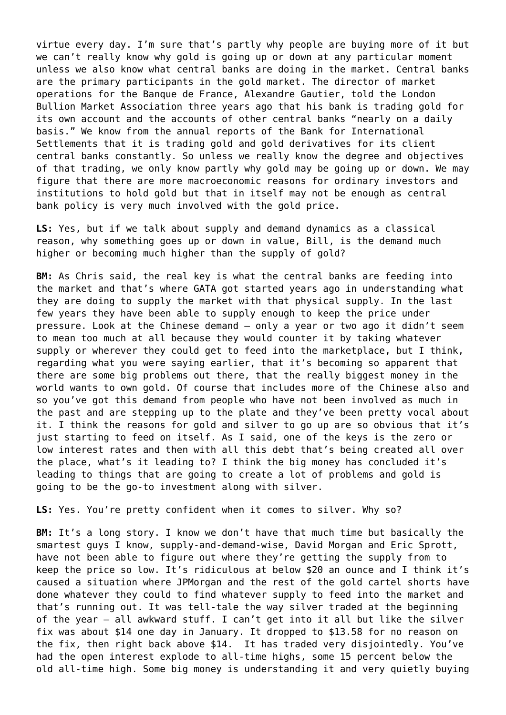virtue every day. I'm sure that's partly why people are buying more of it but we can't really know why gold is going up or down at any particular moment unless we also know what central banks are doing in the market. Central banks are the primary participants in the gold market. The director of market operations for the Banque de France, Alexandre Gautier, told the London Bullion Market Association three years ago that his bank is trading gold for its own account and the accounts of other central banks "nearly on a daily basis." We know from the annual reports of the Bank for International Settlements that it is trading gold and gold derivatives for its client central banks constantly. So unless we really know the degree and objectives of that trading, we only know partly why gold may be going up or down. We may figure that there are more macroeconomic reasons for ordinary investors and institutions to hold gold but that in itself may not be enough as central bank policy is very much involved with the gold price.

**LS:** Yes, but if we talk about supply and demand dynamics as a classical reason, why something goes up or down in value, Bill, is the demand much higher or becoming much higher than the supply of gold?

**BM:** As Chris said, the real key is what the central banks are feeding into the market and that's where GATA got started years ago in understanding what they are doing to supply the market with that physical supply. In the last few years they have been able to supply enough to keep the price under pressure. Look at the Chinese demand — only a year or two ago it didn't seem to mean too much at all because they would counter it by taking whatever supply or wherever they could get to feed into the marketplace, but I think, regarding what you were saying earlier, that it's becoming so apparent that there are some big problems out there, that the really biggest money in the world wants to own gold. Of course that includes more of the Chinese also and so you've got this demand from people who have not been involved as much in the past and are stepping up to the plate and they've been pretty vocal about it. I think the reasons for gold and silver to go up are so obvious that it's just starting to feed on itself. As I said, one of the keys is the zero or low interest rates and then with all this debt that's being created all over the place, what's it leading to? I think the big money has concluded it's leading to things that are going to create a lot of problems and gold is going to be the go-to investment along with silver.

**LS:** Yes. You're pretty confident when it comes to silver. Why so?

**BM:** It's a long story. I know we don't have that much time but basically the smartest guys I know, supply-and-demand-wise, David Morgan and Eric Sprott, have not been able to figure out where they're getting the supply from to keep the price so low. It's ridiculous at below \$20 an ounce and I think it's caused a situation where JPMorgan and the rest of the gold cartel shorts have done whatever they could to find whatever supply to feed into the market and that's running out. It was tell-tale the way silver traded at the beginning of the year — all awkward stuff. I can't get into it all but like the silver fix was about \$14 one day in January. It dropped to \$13.58 for no reason on the fix, then right back above \$14. It has traded very disjointedly. You've had the open interest explode to all-time highs, some 15 percent below the old all-time high. Some big money is understanding it and very quietly buying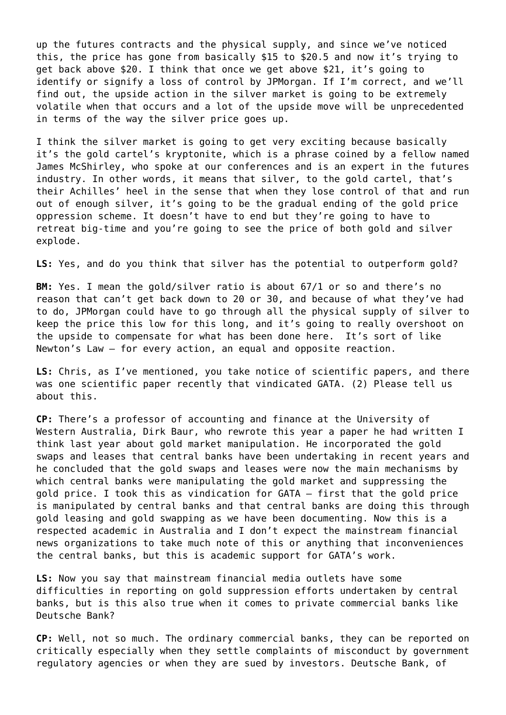up the futures contracts and the physical supply, and since we've noticed this, the price has gone from basically \$15 to \$20.5 and now it's trying to get back above \$20. I think that once we get above \$21, it's going to identify or signify a loss of control by JPMorgan. If I'm correct, and we'll find out, the upside action in the silver market is going to be extremely volatile when that occurs and a lot of the upside move will be unprecedented in terms of the way the silver price goes up.

I think the silver market is going to get very exciting because basically it's the gold cartel's kryptonite, which is a phrase coined by a fellow named James McShirley, who spoke at our conferences and is an expert in the futures industry. In other words, it means that silver, to the gold cartel, that's their Achilles' heel in the sense that when they lose control of that and run out of enough silver, it's going to be the gradual ending of the gold price oppression scheme. It doesn't have to end but they're going to have to retreat big-time and you're going to see the price of both gold and silver explode.

**LS:** Yes, and do you think that silver has the potential to outperform gold?

**BM:** Yes. I mean the gold/silver ratio is about 67/1 or so and there's no reason that can't get back down to 20 or 30, and because of what they've had to do, JPMorgan could have to go through all the physical supply of silver to keep the price this low for this long, and it's going to really overshoot on the upside to compensate for what has been done here. It's sort of like Newton's Law — for every action, an equal and opposite reaction.

**LS:** Chris, as I've mentioned, you take notice of scientific papers, and there was one scientific paper recently that vindicated GATA. (2) Please tell us about this.

**CP:** There's a professor of accounting and finance at the University of Western Australia, Dirk Baur, who rewrote this year a paper he had written I think last year about gold market manipulation. He incorporated the gold swaps and leases that central banks have been undertaking in recent years and he concluded that the gold swaps and leases were now the main mechanisms by which central banks were manipulating the gold market and suppressing the gold price. I took this as vindication for GATA — first that the gold price is manipulated by central banks and that central banks are doing this through gold leasing and gold swapping as we have been documenting. Now this is a respected academic in Australia and I don't expect the mainstream financial news organizations to take much note of this or anything that inconveniences the central banks, but this is academic support for GATA's work.

**LS:** Now you say that mainstream financial media outlets have some difficulties in reporting on gold suppression efforts undertaken by central banks, but is this also true when it comes to private commercial banks like Deutsche Bank?

**CP:** Well, not so much. The ordinary commercial banks, they can be reported on critically especially when they settle complaints of misconduct by government regulatory agencies or when they are sued by investors. Deutsche Bank, of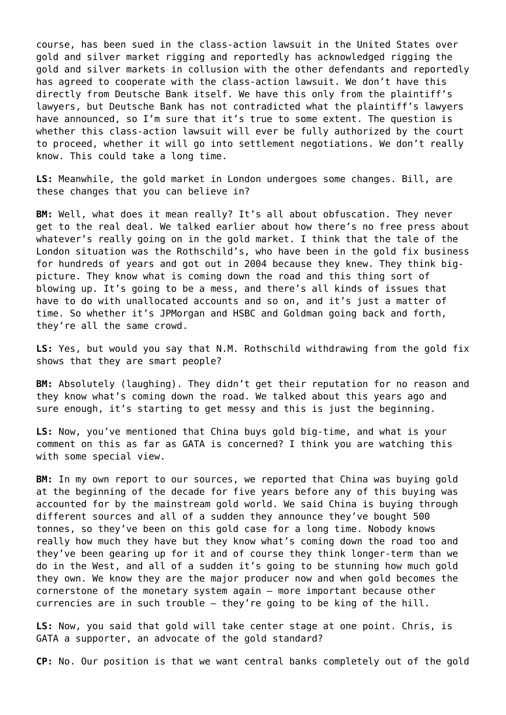course, has been sued in the class-action lawsuit in the United States over gold and silver market rigging and reportedly has acknowledged rigging the gold and silver markets in collusion with the other defendants and reportedly has agreed to cooperate with the class-action lawsuit. We don't have this directly from Deutsche Bank itself. We have this only from the plaintiff's lawyers, but Deutsche Bank has not contradicted what the plaintiff's lawyers have announced, so I'm sure that it's true to some extent. The question is whether this class-action lawsuit will ever be fully authorized by the court to proceed, whether it will go into settlement negotiations. We don't really know. This could take a long time.

**LS:** Meanwhile, the gold market in London undergoes some changes. Bill, are these changes that you can believe in?

**BM:** Well, what does it mean really? It's all about obfuscation. They never get to the real deal. We talked earlier about how there's no free press about whatever's really going on in the gold market. I think that the tale of the London situation was the Rothschild's, who have been in the gold fix business for hundreds of years and got out in 2004 because they knew. They think bigpicture. They know what is coming down the road and this thing sort of blowing up. It's going to be a mess, and there's all kinds of issues that have to do with unallocated accounts and so on, and it's just a matter of time. So whether it's JPMorgan and HSBC and Goldman going back and forth, they're all the same crowd.

**LS:** Yes, but would you say that N.M. Rothschild withdrawing from the gold fix shows that they are smart people?

**BM:** Absolutely (laughing). They didn't get their reputation for no reason and they know what's coming down the road. We talked about this years ago and sure enough, it's starting to get messy and this is just the beginning.

**LS:** Now, you've mentioned that China buys gold big-time, and what is your comment on this as far as GATA is concerned? I think you are watching this with some special view.

**BM:** In my own report to our sources, we reported that China was buying gold at the beginning of the decade for five years before any of this buying was accounted for by the mainstream gold world. We said China is buying through different sources and all of a sudden they announce they've bought 500 tonnes, so they've been on this gold case for a long time. Nobody knows really how much they have but they know what's coming down the road too and they've been gearing up for it and of course they think longer-term than we do in the West, and all of a sudden it's going to be stunning how much gold they own. We know they are the major producer now and when gold becomes the cornerstone of the monetary system again — more important because other currencies are in such trouble — they're going to be king of the hill.

**LS:** Now, you said that gold will take center stage at one point. Chris, is GATA a supporter, an advocate of the gold standard?

**CP:** No. Our position is that we want central banks completely out of the gold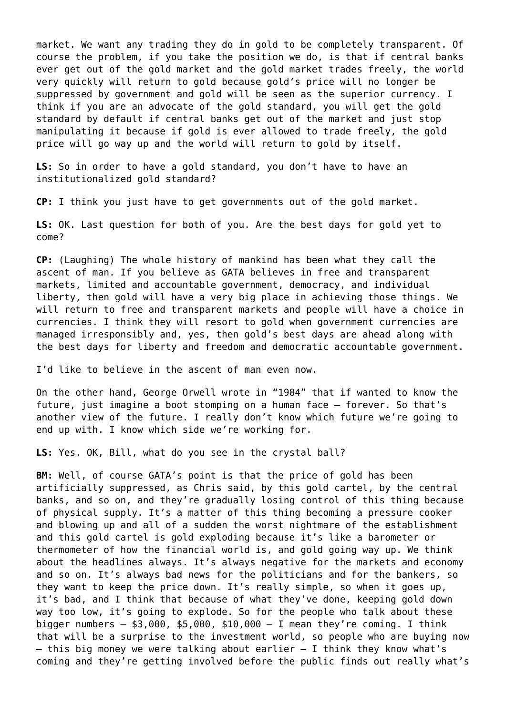market. We want any trading they do in gold to be completely transparent. Of course the problem, if you take the position we do, is that if central banks ever get out of the gold market and the gold market trades freely, the world very quickly will return to gold because gold's price will no longer be suppressed by government and gold will be seen as the superior currency. I think if you are an advocate of the gold standard, you will get the gold standard by default if central banks get out of the market and just stop manipulating it because if gold is ever allowed to trade freely, the gold price will go way up and the world will return to gold by itself.

LS: So in order to have a gold standard, you don't have to have an institutionalized gold standard?

**CP:** I think you just have to get governments out of the gold market.

**LS:** OK. Last question for both of you. Are the best days for gold yet to come?

**CP:** (Laughing) The whole history of mankind has been what they call the ascent of man. If you believe as GATA believes in free and transparent markets, limited and accountable government, democracy, and individual liberty, then gold will have a very big place in achieving those things. We will return to free and transparent markets and people will have a choice in currencies. I think they will resort to gold when government currencies are managed irresponsibly and, yes, then gold's best days are ahead along with the best days for liberty and freedom and democratic accountable government.

I'd like to believe in the ascent of man even now.

On the other hand, George Orwell wrote in "1984" that if wanted to know the future, just imagine a boot stomping on a human face — forever. So that's another view of the future. I really don't know which future we're going to end up with. I know which side we're working for.

**LS:** Yes. OK, Bill, what do you see in the crystal ball?

**BM:** Well, of course GATA's point is that the price of gold has been artificially suppressed, as Chris said, by this gold cartel, by the central banks, and so on, and they're gradually losing control of this thing because of physical supply. It's a matter of this thing becoming a pressure cooker and blowing up and all of a sudden the worst nightmare of the establishment and this gold cartel is gold exploding because it's like a barometer or thermometer of how the financial world is, and gold going way up. We think about the headlines always. It's always negative for the markets and economy and so on. It's always bad news for the politicians and for the bankers, so they want to keep the price down. It's really simple, so when it goes up, it's bad, and I think that because of what they've done, keeping gold down way too low, it's going to explode. So for the people who talk about these bigger numbers  $-$  \$3,000, \$5,000, \$10,000  $-$  I mean they're coming. I think that will be a surprise to the investment world, so people who are buying now  $-$  this big money we were talking about earlier  $-$  I think they know what's coming and they're getting involved before the public finds out really what's